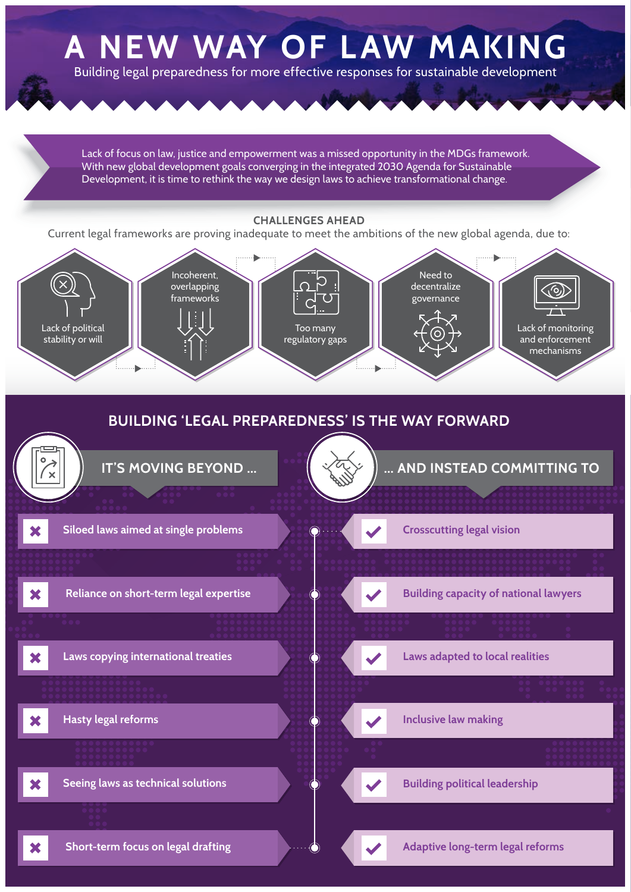